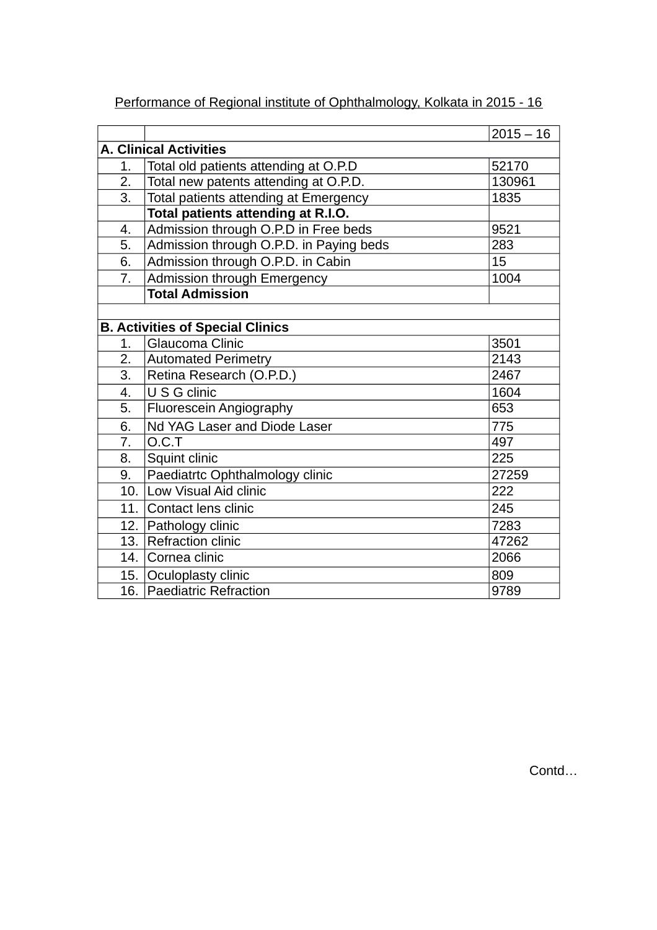|                                            |                                         | $2015 - 16$ |  |
|--------------------------------------------|-----------------------------------------|-------------|--|
|                                            | <b>A. Clinical Activities</b>           |             |  |
| 1.                                         | Total old patients attending at O.P.D   | 52170       |  |
| 2.                                         | Total new patents attending at O.P.D.   | 130961      |  |
| 3.                                         | Total patients attending at Emergency   | 1835        |  |
|                                            | Total patients attending at R.I.O.      |             |  |
| Admission through O.P.D in Free beds<br>4. |                                         | 9521        |  |
| 5.                                         | Admission through O.P.D. in Paying beds | 283         |  |
| 6.                                         | Admission through O.P.D. in Cabin       | 15          |  |
| 7.                                         | <b>Admission through Emergency</b>      | 1004        |  |
|                                            | <b>Total Admission</b>                  |             |  |
|                                            |                                         |             |  |
|                                            | <b>B. Activities of Special Clinics</b> |             |  |
| 1.                                         | Glaucoma Clinic                         | 3501        |  |
| $\overline{2.}$                            | <b>Automated Perimetry</b>              | 2143        |  |
| 3.                                         | Retina Research (O.P.D.)                | 2467        |  |
| 4.                                         | U S G clinic                            | 1604        |  |
| 5.                                         | Fluorescein Angiography                 | 653         |  |
| 6.                                         | Nd YAG Laser and Diode Laser            | 775         |  |
| 7.                                         | O.C.T                                   | 497         |  |
| 8.                                         | Squint clinic                           | 225         |  |
| 9.                                         | Paediatrtc Ophthalmology clinic         | 27259       |  |
| 10.1                                       | Low Visual Aid clinic                   | 222         |  |
| 11.                                        | Contact lens clinic                     | 245         |  |
| 12.                                        | Pathology clinic                        | 7283        |  |
| 13.                                        | <b>Refraction clinic</b>                | 47262       |  |
| 14.                                        | Cornea clinic                           | 2066        |  |
|                                            | 15. Oculoplasty clinic                  | 809         |  |
|                                            | 16. Paediatric Refraction               | 9789        |  |

Performance of Regional institute of Ophthalmology, Kolkata in 2015 - 16

Contd…